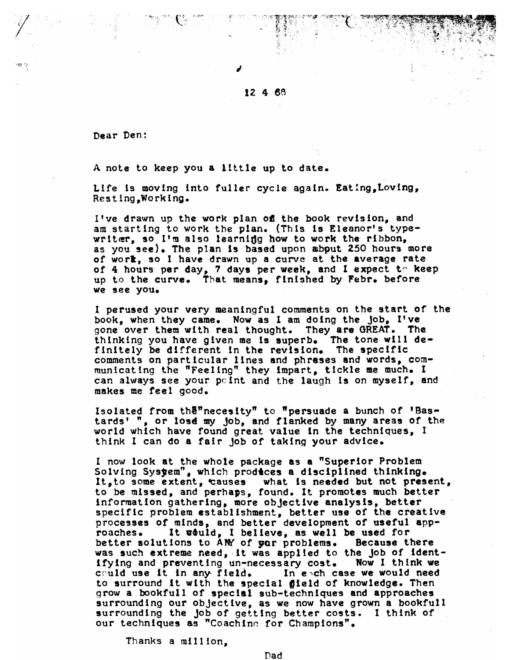Dear Den:

A note to keep you a little up to date.

Life is moving into fuller cycle again. Eating, Loving, Resting.Working.

I've drawn up the work plan of the book revision, and am starting to work the plan. (This is Eleanor's typewriter, so I'm also learning how to work the ribbon, as you see). The plan is based upon about 250 hours more of work, so I have drawn up a curve at the average rate of 4 hours per day, 7 days per week, and I expect to keep up to the curve. That means, finished by Febr. before we see you.

I perused your very meaningful comments on the start of the book, when they came. Now as I am doing the job, I've gone over them with real thought. They are GREAT. The thinking you have given me is superb. The tone will definitely be different in the revision. The specific<br>comments on particular lines and phreses and words, communicating the "Feeling" they impart, tickle me much. I can always see your point and the laugh is on myself, and makes me feel good.

Isolated from the "necesity" to "persuade a bunch of 'Bas-<br>tards' ", or lose my job, and flanked by many areas of the world which have found great value in the techniques, I think I can do a fair job of taking your advice.

I now look at the whole package as a "Superior Problem Solving System", which produces a disciplined thinking. It, to some extent, causes what is needed but not present,<br>to be missed, and perhaps, found. It promotes much better information gathering, more objective analysis, better specific problem establishment, better use of the creative processes of minds, and better development of useful app-It uduld, I believe, as well be used for roaches. better solutions to AMY of yor problems. Because there was such extreme need, it was applied to the job of identifying and preventing un-necessary cost. Now I think we could use it in any field. In each case we would need to surround it with the special gield of knowledge. Then grow a bookfull of special sub-techniques and approaches surrounding our objective, as we now have grown a bookfull surrounding the job of getting better costs. I think of our techniques as "Coachine for Champions".

Thanks a million.